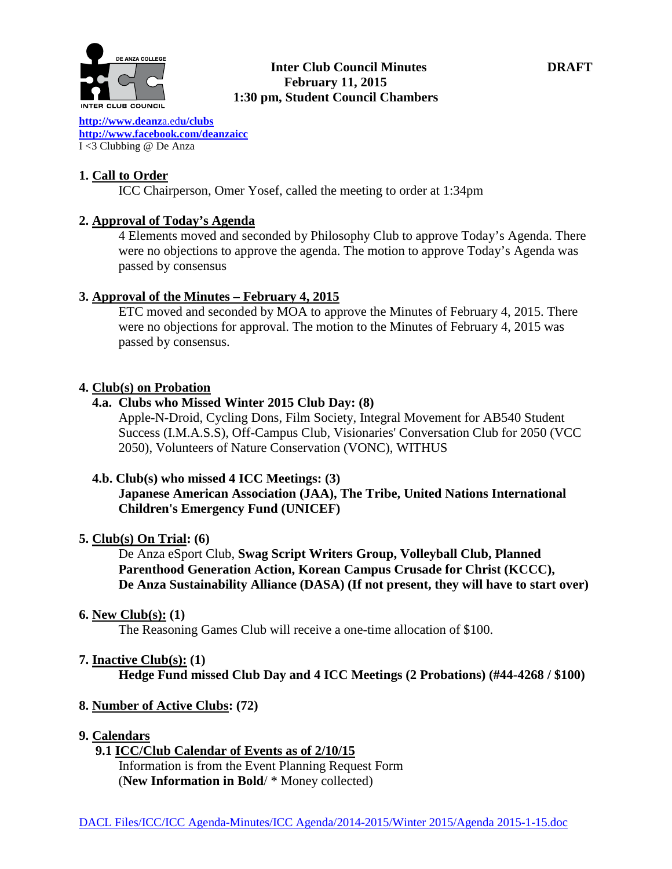

#### **Inter Club Council Minutes DRAFT February 11, 2015 1:30 pm, Student Council Chambers**

**[http://www.deanz](http://www.deanza.edu/clubs)**a.ed**u/clubs [http://www.facebook.com/deanzaicc](http://www.facebook.com/home.php%23!/group.php?gid=59034552686)** I <3 Clubbing @ De Anza

#### **1. Call to Order**

ICC Chairperson, Omer Yosef, called the meeting to order at 1:34pm

### **2. Approval of Today's Agenda**

4 Elements moved and seconded by Philosophy Club to approve Today's Agenda. There were no objections to approve the agenda. The motion to approve Today's Agenda was passed by consensus

### **3. Approval of the Minutes – February 4, 2015**

ETC moved and seconded by MOA to approve the Minutes of February 4, 2015. There were no objections for approval. The motion to the Minutes of February 4, 2015 was passed by consensus.

### **4. Club(s) on Probation**

## **4.a. Clubs who Missed Winter 2015 Club Day: (8)**

Apple-N-Droid, Cycling Dons, Film Society, Integral Movement for AB540 Student Success (I.M.A.S.S), Off-Campus Club, Visionaries' Conversation Club for 2050 (VCC 2050), Volunteers of Nature Conservation (VONC), WITHUS

## **4.b. Club(s) who missed 4 ICC Meetings: (3)**

**Japanese American Association (JAA), The Tribe, United Nations International Children's Emergency Fund (UNICEF)**

#### **5. Club(s) On Trial: (6)**

De Anza eSport Club, **Swag Script Writers Group, Volleyball Club, Planned Parenthood Generation Action, Korean Campus Crusade for Christ (KCCC), De Anza Sustainability Alliance (DASA) (If not present, they will have to start over)**

#### **6. New Club(s): (1)**

The Reasoning Games Club will receive a one-time allocation of \$100.

## **7. Inactive Club(s): (1)**

**Hedge Fund missed Club Day and 4 ICC Meetings (2 Probations) (#44-4268 / \$100)**

## **8. Number of Active Clubs: (72)**

#### **9. Calendars**

 **9.1 ICC/Club Calendar of Events as of 2/10/15** Information is from the Event Planning Request Form

(**New Information in Bold**/ \* Money collected)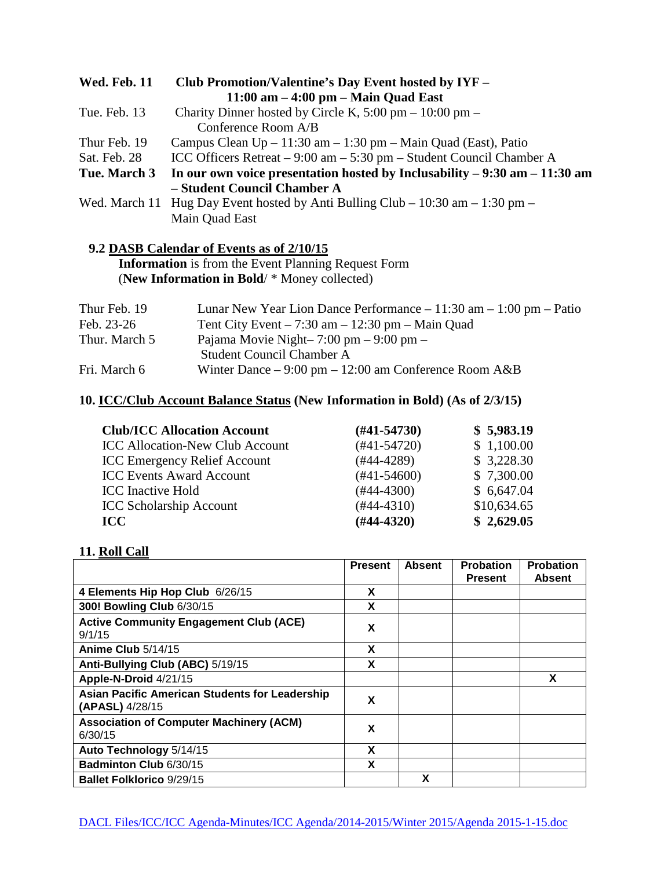| <b>Wed. Feb. 11</b> | Club Promotion/Valentine's Day Event hosted by IYF -                               |
|---------------------|------------------------------------------------------------------------------------|
|                     | $11:00$ am $-4:00$ pm $-$ Main Quad East                                           |
| Tue. Feb. 13        | Charity Dinner hosted by Circle K, $5:00 \text{ pm} - 10:00 \text{ pm} -$          |
|                     | Conference Room A/B                                                                |
| Thur Feb. 19        | Campus Clean $Up - 11:30$ am $- 1:30$ pm $-$ Main Quad (East), Patio               |
| Sat. Feb. 28        | ICC Officers Retreat – 9:00 am – 5:30 pm – Student Council Chamber A               |
| Tue. March 3        | In our own voice presentation hosted by Inclusability $-9:30$ am $-11:30$ am       |
|                     | - Student Council Chamber A                                                        |
|                     | Wed. March 11 Hug Day Event hosted by Anti Bulling Club – $10:30$ am – $1:30$ pm – |
|                     | Main Quad East                                                                     |
|                     |                                                                                    |

## **9.2 DASB Calendar of Events as of 2/10/15**

 **Information** is from the Event Planning Request Form (**New Information in Bold**/ \* Money collected)

| Thur Feb. 19  | Lunar New Year Lion Dance Performance $-11:30$ am $-1:00$ pm $-$ Patio |
|---------------|------------------------------------------------------------------------|
| Feb. 23-26    | Tent City Event $-7:30$ am $-12:30$ pm $-$ Main Quad                   |
| Thur. March 5 | Pajama Movie Night- $7:00 \text{ pm} - 9:00 \text{ pm} -$              |
|               | Student Council Chamber A                                              |
| Fri. March 6  | Winter Dance $-9:00 \text{ pm} - 12:00 \text{ am Conference Room A&B}$ |

# **10. ICC/Club Account Balance Status (New Information in Bold) (As of 2/3/15)**

| <b>Club/ICC Allocation Account</b>     | $(H41-54730)$   | \$5,983.19  |
|----------------------------------------|-----------------|-------------|
| <b>ICC Allocation-New Club Account</b> | $(#41-54720)$   | \$1,100.00  |
| <b>ICC Emergency Relief Account</b>    | $(\#44 - 4289)$ | \$3,228.30  |
| <b>ICC Events Award Account</b>        | $(#41-54600)$   | \$7,300.00  |
| <b>ICC</b> Inactive Hold               | $(#44-4300)$    | \$6,647.04  |
| <b>ICC Scholarship Account</b>         | $(#44-4310)$    | \$10,634.65 |
| <b>ICC</b>                             | $(H44-4320)$    | \$2,629.05  |

## **11. Roll Call**

|                                                                          | <b>Present</b> | <b>Absent</b> | <b>Probation</b><br><b>Present</b> | <b>Probation</b><br>Absent |
|--------------------------------------------------------------------------|----------------|---------------|------------------------------------|----------------------------|
| 4 Elements Hip Hop Club 6/26/15                                          | X              |               |                                    |                            |
| 300! Bowling Club 6/30/15                                                | x              |               |                                    |                            |
| <b>Active Community Engagement Club (ACE)</b><br>9/1/15                  | X              |               |                                    |                            |
| Anime Club $5/14/15$                                                     | X              |               |                                    |                            |
| Anti-Bullying Club (ABC) 5/19/15                                         | X              |               |                                    |                            |
| Apple-N-Droid 4/21/15                                                    |                |               |                                    | X                          |
| <b>Asian Pacific American Students for Leadership</b><br>(APASL) 4/28/15 | x              |               |                                    |                            |
| <b>Association of Computer Machinery (ACM)</b><br>6/30/15                | X              |               |                                    |                            |
| Auto Technology 5/14/15                                                  | X              |               |                                    |                            |
| Badminton Club 6/30/15                                                   | х              |               |                                    |                            |
| <b>Ballet Folklorico 9/29/15</b>                                         |                | X             |                                    |                            |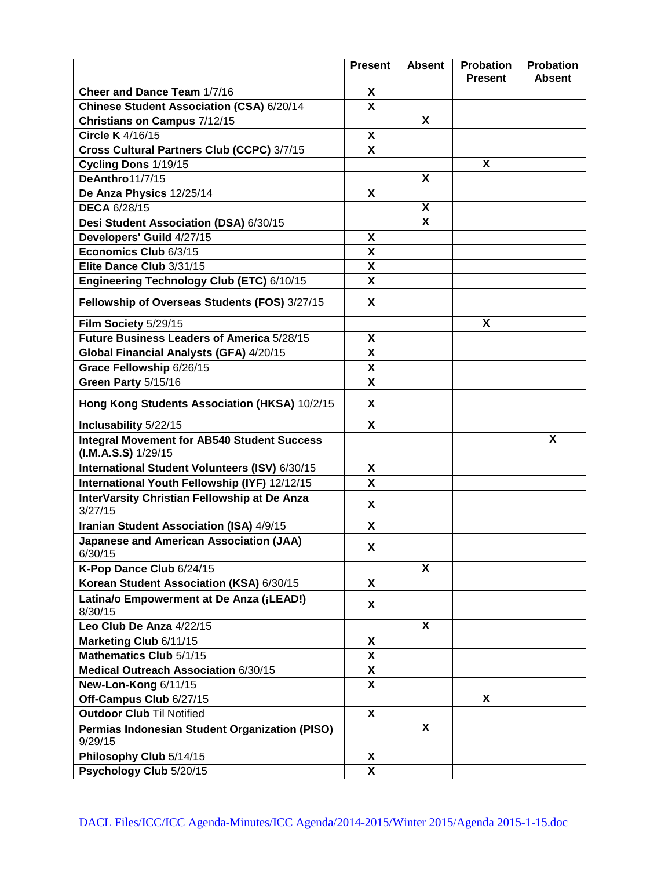|                                                                             | <b>Present</b>            | <b>Absent</b>           | <b>Probation</b><br><b>Present</b> | Probation<br><b>Absent</b> |
|-----------------------------------------------------------------------------|---------------------------|-------------------------|------------------------------------|----------------------------|
| Cheer and Dance Team 1/7/16                                                 | X                         |                         |                                    |                            |
| Chinese Student Association (CSA) 6/20/14                                   | X                         |                         |                                    |                            |
| Christians on Campus 7/12/15                                                |                           | X                       |                                    |                            |
| Circle K 4/16/15                                                            | X                         |                         |                                    |                            |
| Cross Cultural Partners Club (CCPC) 3/7/15                                  | X                         |                         |                                    |                            |
| Cycling Dons 1/19/15                                                        |                           |                         | X                                  |                            |
| DeAnthro11/7/15                                                             |                           | X                       |                                    |                            |
| De Anza Physics 12/25/14                                                    | X                         |                         |                                    |                            |
| <b>DECA 6/28/15</b>                                                         |                           | X                       |                                    |                            |
| Desi Student Association (DSA) 6/30/15                                      |                           | $\overline{\mathbf{x}}$ |                                    |                            |
| Developers' Guild 4/27/15                                                   | X                         |                         |                                    |                            |
| Economics Club 6/3/15                                                       | X                         |                         |                                    |                            |
| Elite Dance Club 3/31/15                                                    | X                         |                         |                                    |                            |
| Engineering Technology Club (ETC) 6/10/15                                   | X                         |                         |                                    |                            |
| Fellowship of Overseas Students (FOS) 3/27/15                               | X                         |                         |                                    |                            |
| Film Society 5/29/15                                                        |                           |                         | X                                  |                            |
| Future Business Leaders of America 5/28/15                                  | X                         |                         |                                    |                            |
| Global Financial Analysts (GFA) 4/20/15                                     | X                         |                         |                                    |                            |
| Grace Fellowship 6/26/15                                                    | $\boldsymbol{\mathsf{X}}$ |                         |                                    |                            |
| Green Party 5/15/16                                                         | X                         |                         |                                    |                            |
| Hong Kong Students Association (HKSA) 10/2/15                               | X                         |                         |                                    |                            |
| Inclusability 5/22/15                                                       | X                         |                         |                                    |                            |
| <b>Integral Movement for AB540 Student Success</b><br>$(I.M.A.S.S)$ 1/29/15 |                           |                         |                                    | X                          |
| International Student Volunteers (ISV) 6/30/15                              | X                         |                         |                                    |                            |
| International Youth Fellowship (IYF) 12/12/15                               | X                         |                         |                                    |                            |
| InterVarsity Christian Fellowship at De Anza<br>3/27/15                     | X                         |                         |                                    |                            |
| Iranian Student Association (ISA) 4/9/15                                    | X                         |                         |                                    |                            |
| <b>Japanese and American Association (JAA)</b><br>6/30/15                   | X                         |                         |                                    |                            |
| K-Pop Dance Club 6/24/15                                                    |                           | X                       |                                    |                            |
| Korean Student Association (KSA) 6/30/15                                    | X                         |                         |                                    |                            |
| Latina/o Empowerment at De Anza (¡LEAD!)<br>8/30/15                         | X                         |                         |                                    |                            |
| Leo Club De Anza 4/22/15                                                    |                           | X                       |                                    |                            |
| Marketing Club 6/11/15                                                      | X                         |                         |                                    |                            |
| Mathematics Club 5/1/15                                                     | X                         |                         |                                    |                            |
| Medical Outreach Association 6/30/15                                        | $\boldsymbol{\mathsf{X}}$ |                         |                                    |                            |
| New-Lon-Kong 6/11/15                                                        | X                         |                         |                                    |                            |
| Off-Campus Club 6/27/15                                                     |                           |                         | X                                  |                            |
| <b>Outdoor Club Til Notified</b>                                            | X                         |                         |                                    |                            |
| Permias Indonesian Student Organization (PISO)                              |                           | X                       |                                    |                            |
| 9/29/15                                                                     |                           |                         |                                    |                            |
| Philosophy Club 5/14/15                                                     | X                         |                         |                                    |                            |
| Psychology Club 5/20/15                                                     | X                         |                         |                                    |                            |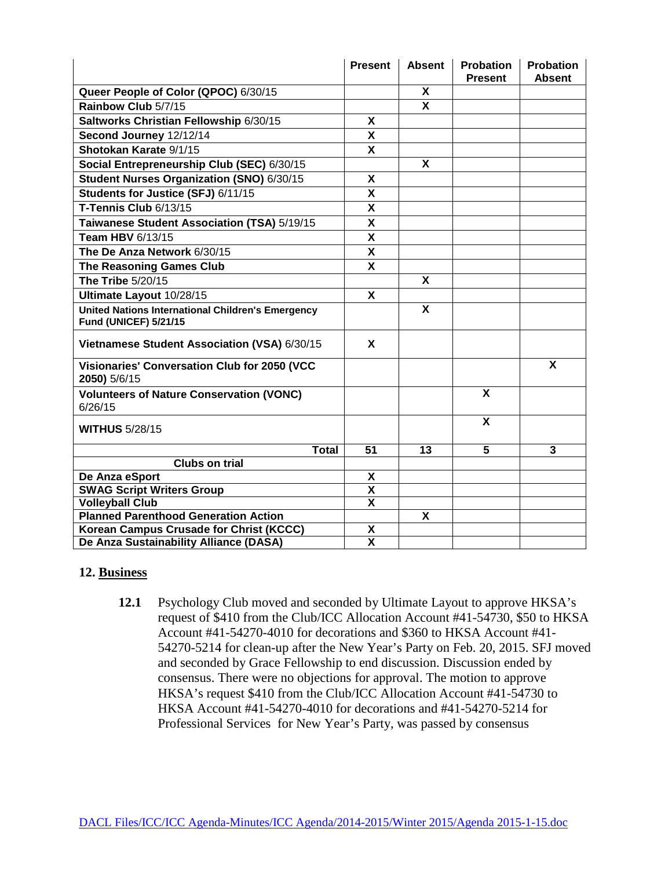|                                                                                          | <b>Present</b>          | <b>Absent</b>           | <b>Probation</b><br><b>Present</b> | <b>Probation</b><br><b>Absent</b> |
|------------------------------------------------------------------------------------------|-------------------------|-------------------------|------------------------------------|-----------------------------------|
| Queer People of Color (QPOC) 6/30/15                                                     |                         | X                       |                                    |                                   |
| Rainbow Club 5/7/15                                                                      |                         | $\overline{\mathbf{x}}$ |                                    |                                   |
| Saltworks Christian Fellowship 6/30/15                                                   | X                       |                         |                                    |                                   |
| Second Journey 12/12/14                                                                  | X                       |                         |                                    |                                   |
| Shotokan Karate 9/1/15                                                                   | $\overline{\mathbf{x}}$ |                         |                                    |                                   |
| Social Entrepreneurship Club (SEC) 6/30/15                                               |                         | X                       |                                    |                                   |
| Student Nurses Organization (SNO) 6/30/15                                                | X                       |                         |                                    |                                   |
| Students for Justice (SFJ) 6/11/15                                                       | X                       |                         |                                    |                                   |
| T-Tennis Club 6/13/15                                                                    | X                       |                         |                                    |                                   |
| Taiwanese Student Association (TSA) 5/19/15                                              | X                       |                         |                                    |                                   |
| <b>Team HBV 6/13/15</b>                                                                  | X                       |                         |                                    |                                   |
| The De Anza Network 6/30/15                                                              | X                       |                         |                                    |                                   |
| <b>The Reasoning Games Club</b>                                                          | X                       |                         |                                    |                                   |
| The Tribe 5/20/15                                                                        |                         | X                       |                                    |                                   |
| Ultimate Layout 10/28/15                                                                 | X                       |                         |                                    |                                   |
| <b>United Nations International Children's Emergency</b><br><b>Fund (UNICEF) 5/21/15</b> |                         | X                       |                                    |                                   |
| Vietnamese Student Association (VSA) 6/30/15                                             | X                       |                         |                                    |                                   |
| Visionaries' Conversation Club for 2050 (VCC<br>2050) 5/6/15                             |                         |                         |                                    | X                                 |
| <b>Volunteers of Nature Conservation (VONC)</b><br>6/26/15                               |                         |                         | X                                  |                                   |
| <b>WITHUS 5/28/15</b>                                                                    |                         |                         | X                                  |                                   |
| <b>Total</b>                                                                             | 51                      | 13                      | $\overline{\mathbf{5}}$            | 3                                 |
| <b>Clubs on trial</b>                                                                    |                         |                         |                                    |                                   |
| De Anza eSport                                                                           | X                       |                         |                                    |                                   |
| <b>SWAG Script Writers Group</b>                                                         | $\overline{\mathsf{x}}$ |                         |                                    |                                   |
| <b>Volleyball Club</b>                                                                   | $\overline{\mathbf{x}}$ |                         |                                    |                                   |
| <b>Planned Parenthood Generation Action</b>                                              |                         | X                       |                                    |                                   |
| Korean Campus Crusade for Christ (KCCC)                                                  | X                       |                         |                                    |                                   |
| De Anza Sustainability Alliance (DASA)                                                   | $\overline{\mathbf{x}}$ |                         |                                    |                                   |

#### **12. Business**

**12.1** Psychology Club moved and seconded by Ultimate Layout to approve HKSA's request of \$410 from the Club/ICC Allocation Account #41-54730, \$50 to HKSA Account #41-54270-4010 for decorations and \$360 to HKSA Account #41- 54270-5214 for clean-up after the New Year's Party on Feb. 20, 2015. SFJ moved and seconded by Grace Fellowship to end discussion. Discussion ended by consensus. There were no objections for approval. The motion to approve HKSA's request \$410 from the Club/ICC Allocation Account #41-54730 to HKSA Account #41-54270-4010 for decorations and #41-54270-5214 for Professional Services for New Year's Party, was passed by consensus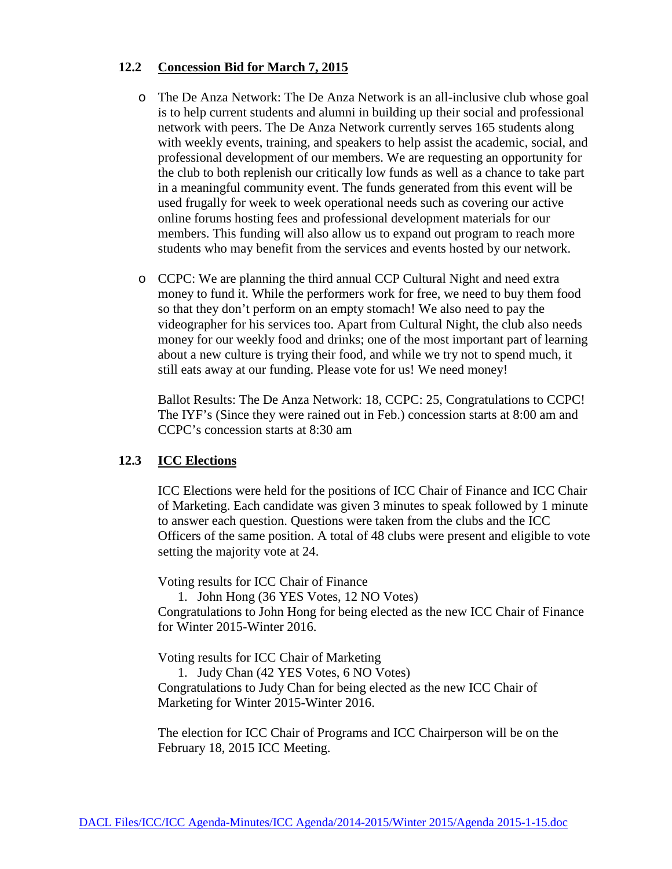#### **12.2 Concession Bid for March 7, 2015**

- o The De Anza Network: The De Anza Network is an all-inclusive club whose goal is to help current students and alumni in building up their social and professional network with peers. The De Anza Network currently serves 165 students along with weekly events, training, and speakers to help assist the academic, social, and professional development of our members. We are requesting an opportunity for the club to both replenish our critically low funds as well as a chance to take part in a meaningful community event. The funds generated from this event will be used frugally for week to week operational needs such as covering our active online forums hosting fees and professional development materials for our members. This funding will also allow us to expand out program to reach more students who may benefit from the services and events hosted by our network.
- o CCPC: We are planning the third annual CCP Cultural Night and need extra money to fund it. While the performers work for free, we need to buy them food so that they don't perform on an empty stomach! We also need to pay the videographer for his services too. Apart from Cultural Night, the club also needs money for our weekly food and drinks; one of the most important part of learning about a new culture is trying their food, and while we try not to spend much, it still eats away at our funding. Please vote for us! We need money!

 Ballot Results: The De Anza Network: 18, CCPC: 25, Congratulations to CCPC! The IYF's (Since they were rained out in Feb.) concession starts at 8:00 am and CCPC's concession starts at 8:30 am

#### **12.3 ICC Elections**

ICC Elections were held for the positions of ICC Chair of Finance and ICC Chair of Marketing. Each candidate was given 3 minutes to speak followed by 1 minute to answer each question. Questions were taken from the clubs and the ICC Officers of the same position. A total of 48 clubs were present and eligible to vote setting the majority vote at 24.

Voting results for ICC Chair of Finance

1. John Hong (36 YES Votes, 12 NO Votes)

Congratulations to John Hong for being elected as the new ICC Chair of Finance for Winter 2015-Winter 2016.

Voting results for ICC Chair of Marketing

1. Judy Chan (42 YES Votes, 6 NO Votes) Congratulations to Judy Chan for being elected as the new ICC Chair of Marketing for Winter 2015-Winter 2016.

The election for ICC Chair of Programs and ICC Chairperson will be on the February 18, 2015 ICC Meeting.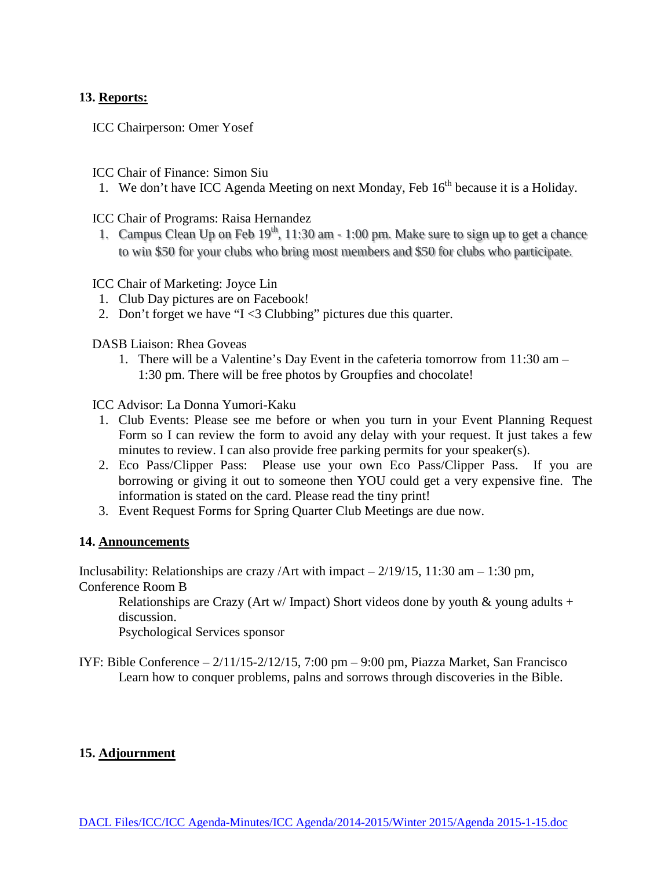### **13. Reports:**

ICC Chairperson: Omer Yosef

ICC Chair of Finance: Simon Siu

1. We don't have ICC Agenda Meeting on next Monday, Feb  $16<sup>th</sup>$  because it is a Holiday.

ICC Chair of Programs: Raisa Hernandez

1. Campus Clean Up on Feb  $19<sup>th</sup>$ , 11:30 am - 1:00 pm. Make sure to sign up to get a chance to win \$50 for your clubs who bring most members and \$50 for clubs who participate.

ICC Chair of Marketing: Joyce Lin

- 1. Club Day pictures are on Facebook!
- 2. Don't forget we have "I <3 Clubbing" pictures due this quarter.

DASB Liaison: Rhea Goveas

1. There will be a Valentine's Day Event in the cafeteria tomorrow from 11:30 am – 1:30 pm. There will be free photos by Groupfies and chocolate!

ICC Advisor: La Donna Yumori-Kaku

- 1. Club Events: Please see me before or when you turn in your Event Planning Request Form so I can review the form to avoid any delay with your request. It just takes a few minutes to review. I can also provide free parking permits for your speaker(s).
- 2. Eco Pass/Clipper Pass: Please use your own Eco Pass/Clipper Pass. If you are borrowing or giving it out to someone then YOU could get a very expensive fine. The information is stated on the card. Please read the tiny print!
- 3. Event Request Forms for Spring Quarter Club Meetings are due now.

#### **14. Announcements**

Inclusability: Relationships are crazy /Art with impact  $-2/19/15$ , 11:30 am  $-1:30$  pm,

Conference Room B

Relationships are Crazy (Art w/ Impact) Short videos done by youth  $\&$  young adults + discussion.

Psychological Services sponsor

IYF: Bible Conference  $-2/11/15-2/12/15$ , 7:00 pm  $-9:00$  pm, Piazza Market, San Francisco Learn how to conquer problems, palns and sorrows through discoveries in the Bible.

#### **15. Adjournment**